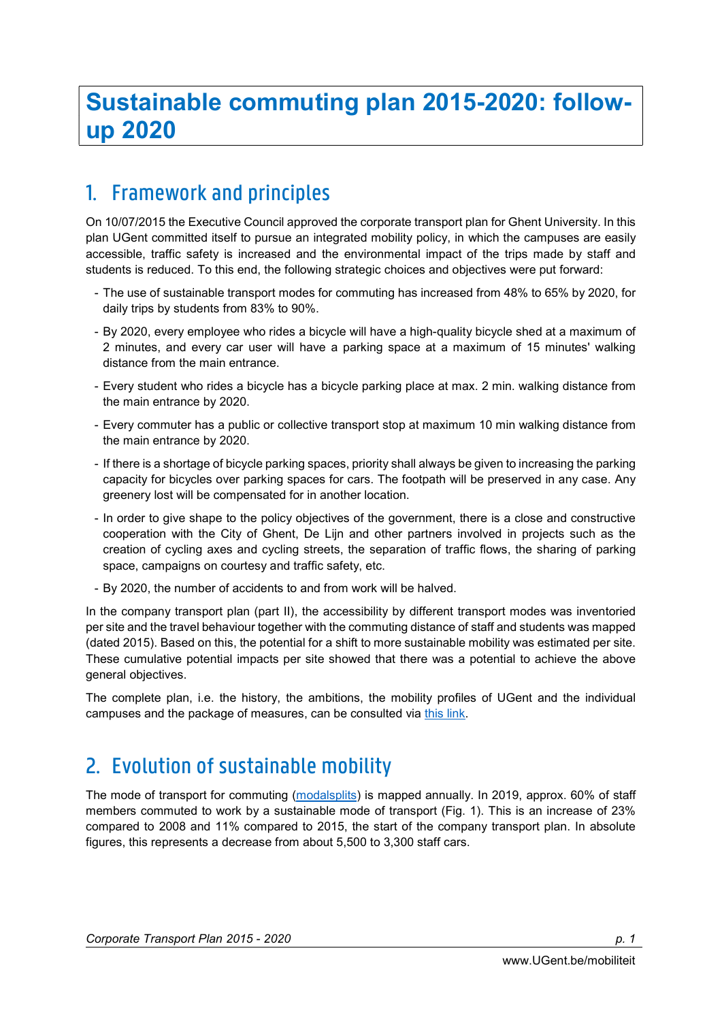## 1. Framework and principles

On 10/07/2015 the Executive Council approved the corporate transport plan for Ghent University. In this plan UGent committed itself to pursue an integrated mobility policy, in which the campuses are easily accessible, traffic safety is increased and the environmental impact of the trips made by staff and students is reduced. To this end, the following strategic choices and objectives were put forward:

- The use of sustainable transport modes for commuting has increased from 48% to 65% by 2020, for daily trips by students from 83% to 90%.
- By 2020, every employee who rides a bicycle will have a high-quality bicycle shed at a maximum of 2 minutes, and every car user will have a parking space at a maximum of 15 minutes' walking distance from the main entrance.
- Every student who rides a bicycle has a bicycle parking place at max. 2 min. walking distance from the main entrance by 2020.
- Every commuter has a public or collective transport stop at maximum 10 min walking distance from the main entrance by 2020.
- If there is a shortage of bicycle parking spaces, priority shall always be given to increasing the parking capacity for bicycles over parking spaces for cars. The footpath will be preserved in any case. Any greenery lost will be compensated for in another location.
- In order to give shape to the policy objectives of the government, there is a close and constructive cooperation with the City of Ghent, De Lijn and other partners involved in projects such as the creation of cycling axes and cycling streets, the separation of traffic flows, the sharing of parking space, campaigns on courtesy and traffic safety, etc.
- By 2020, the number of accidents to and from work will be halved.

In the company transport plan (part II), the accessibility by different transport modes was inventoried per site and the travel behaviour together with the commuting distance of staff and students was mapped (dated 2015). Based on this, the potential for a shift to more sustainable mobility was estimated per site. These cumulative potential impacts per site showed that there was a potential to achieve the above general objectives.

The complete plan, i.e. the history, the ambitions, the mobility profiles of UGent and the individual campuses and the package of measures, can be consulted via this link.

# 2. Evolution of sustainable mobility

The mode of transport for commuting (modalsplits) is mapped annually. In 2019, approx. 60% of staff members commuted to work by a sustainable mode of transport (Fig. 1). This is an increase of 23% compared to 2008 and 11% compared to 2015, the start of the company transport plan. In absolute figures, this represents a decrease from about 5,500 to 3,300 staff cars.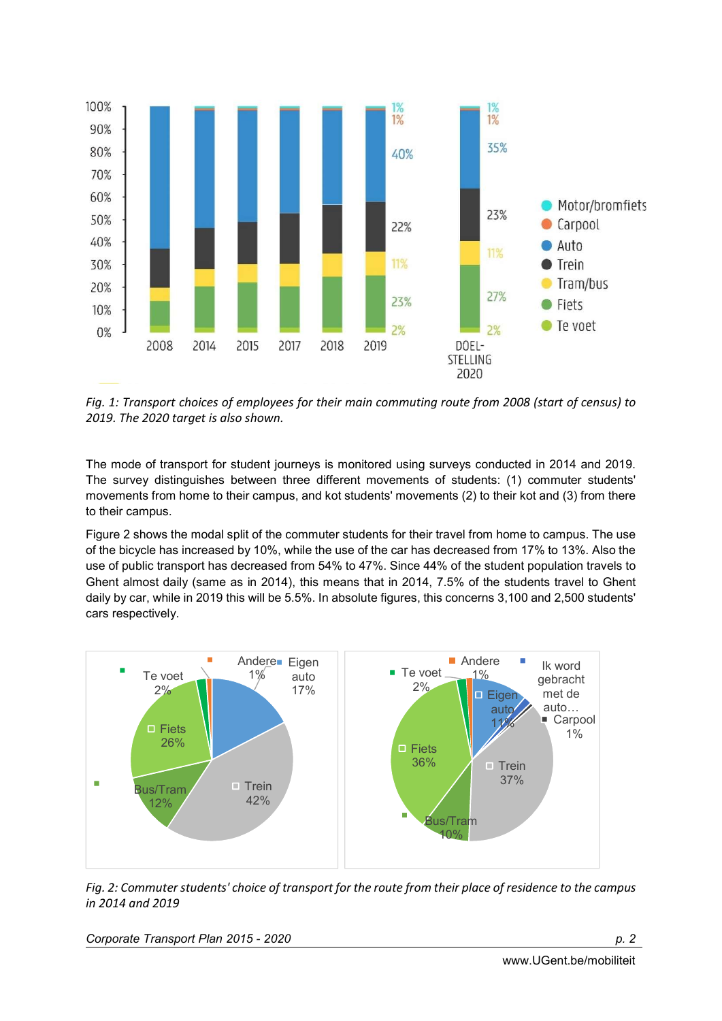

Fig. 1: Transport choices of employees for their main commuting route from 2008 (start of census) to 2019. The 2020 target is also shown.

The mode of transport for student journeys is monitored using surveys conducted in 2014 and 2019. The survey distinguishes between three different movements of students: (1) commuter students' movements from home to their campus, and kot students' movements (2) to their kot and (3) from there to their campus.

Figure 2 shows the modal split of the commuter students for their travel from home to campus. The use of the bicycle has increased by 10%, while the use of the car has decreased from 17% to 13%. Also the use of public transport has decreased from 54% to 47%. Since 44% of the student population travels to Ghent almost daily (same as in 2014), this means that in 2014, 7.5% of the students travel to Ghent daily by car, while in 2019 this will be 5.5%. In absolute figures, this concerns 3,100 and 2,500 students' cars respectively.



Fig. 2: Commuter students' choice of transport for the route from their place of residence to the campus in 2014 and 2019

Corporate Transport Plan 2015 - 2020 **p. 2016** p. 2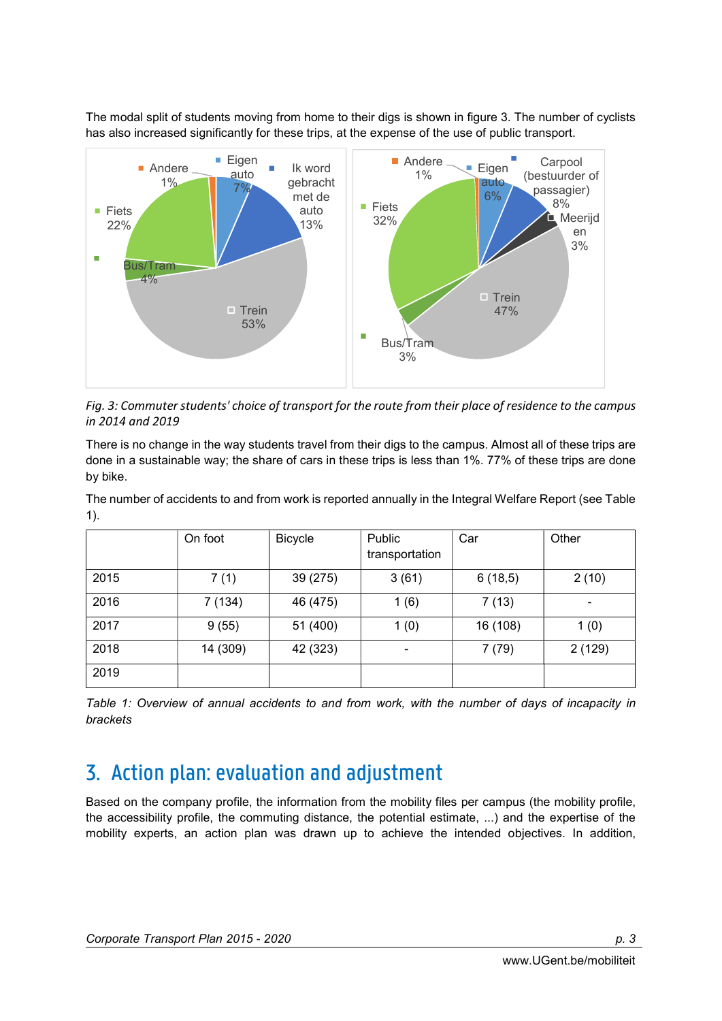The modal split of students moving from home to their digs is shown in figure 3. The number of cyclists has also increased significantly for these trips, at the expense of the use of public transport.



Fig. 3: Commuter students' choice of transport for the route from their place of residence to the campus in 2014 and 2019

There is no change in the way students travel from their digs to the campus. Almost all of these trips are done in a sustainable way; the share of cars in these trips is less than 1%. 77% of these trips are done by bike.

The number of accidents to and from work is reported annually in the Integral Welfare Report (see Table 1).

|      | On foot  | <b>Bicycle</b> | Public<br>transportation | Car      | Other  |
|------|----------|----------------|--------------------------|----------|--------|
| 2015 | 7(1)     | 39 (275)       | 3(61)                    | 6(18,5)  | 2(10)  |
| 2016 | 7 (134)  | 46 (475)       | 1(6)                     | 7(13)    | ٠      |
| 2017 | 9(55)    | 51 (400)       | 1(0)                     | 16 (108) | 1(0)   |
| 2018 | 14 (309) | 42 (323)       | ۰                        | 7(79)    | 2(129) |
| 2019 |          |                |                          |          |        |

Table 1: Overview of annual accidents to and from work, with the number of days of incapacity in brackets

## 3. Action plan: evaluation and adjustment

Based on the company profile, the information from the mobility files per campus (the mobility profile, the accessibility profile, the commuting distance, the potential estimate, ...) and the expertise of the mobility experts, an action plan was drawn up to achieve the intended objectives. In addition,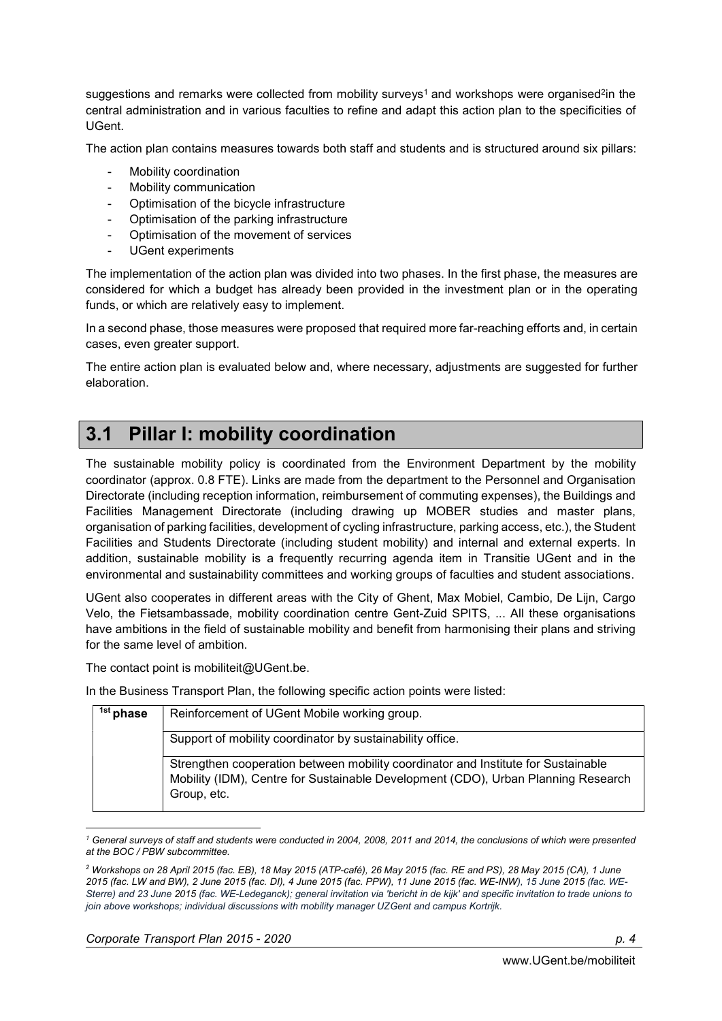suggestions and remarks were collected from mobility surveys<sup>1</sup> and workshops were organised<sup>2</sup>in the central administration and in various faculties to refine and adapt this action plan to the specificities of UGent.

The action plan contains measures towards both staff and students and is structured around six pillars:

- Mobility coordination
- Mobility communication
- Optimisation of the bicycle infrastructure
- Optimisation of the parking infrastructure
- Optimisation of the movement of services
- UGent experiments

The implementation of the action plan was divided into two phases. In the first phase, the measures are considered for which a budget has already been provided in the investment plan or in the operating funds, or which are relatively easy to implement.

In a second phase, those measures were proposed that required more far-reaching efforts and, in certain cases, even greater support.

The entire action plan is evaluated below and, where necessary, adjustments are suggested for further elaboration.

#### 3.1 Pillar I: mobility coordination

The sustainable mobility policy is coordinated from the Environment Department by the mobility coordinator (approx. 0.8 FTE). Links are made from the department to the Personnel and Organisation Directorate (including reception information, reimbursement of commuting expenses), the Buildings and Facilities Management Directorate (including drawing up MOBER studies and master plans, organisation of parking facilities, development of cycling infrastructure, parking access, etc.), the Student Facilities and Students Directorate (including student mobility) and internal and external experts. In addition, sustainable mobility is a frequently recurring agenda item in Transitie UGent and in the environmental and sustainability committees and working groups of faculties and student associations.

UGent also cooperates in different areas with the City of Ghent, Max Mobiel, Cambio, De Lijn, Cargo Velo, the Fietsambassade, mobility coordination centre Gent-Zuid SPITS, ... All these organisations have ambitions in the field of sustainable mobility and benefit from harmonising their plans and striving for the same level of ambition.

The contact point is mobiliteit@UGent.be.

In the Business Transport Plan, the following specific action points were listed:

| <sup>1st</sup> phase | Reinforcement of UGent Mobile working group.                                                                                                                                          |
|----------------------|---------------------------------------------------------------------------------------------------------------------------------------------------------------------------------------|
|                      | Support of mobility coordinator by sustainability office.                                                                                                                             |
|                      | Strengthen cooperation between mobility coordinator and Institute for Sustainable<br>Mobility (IDM), Centre for Sustainable Development (CDO), Urban Planning Research<br>Group, etc. |

 1 General surveys of staff and students were conducted in 2004, 2008, 2011 and 2014, the conclusions of which were presented at the BOC / PBW subcommittee.

Corporate Transport Plan 2015 - 2020 **p. 4** and p. 4

<sup>2</sup> Workshops on 28 April 2015 (fac. EB), 18 May 2015 (ATP-café), 26 May 2015 (fac. RE and PS), 28 May 2015 (CA), 1 June 2015 (fac. LW and BW), 2 June 2015 (fac. DI), 4 June 2015 (fac. PPW), 11 June 2015 (fac. WE-INW), 15 June 2015 (fac. WE-Sterre) and 23 June 2015 (fac. WE-Ledeganck); general invitation via 'bericht in de kijk' and specific invitation to trade unions to join above workshops; individual discussions with mobility manager UZGent and campus Kortrijk.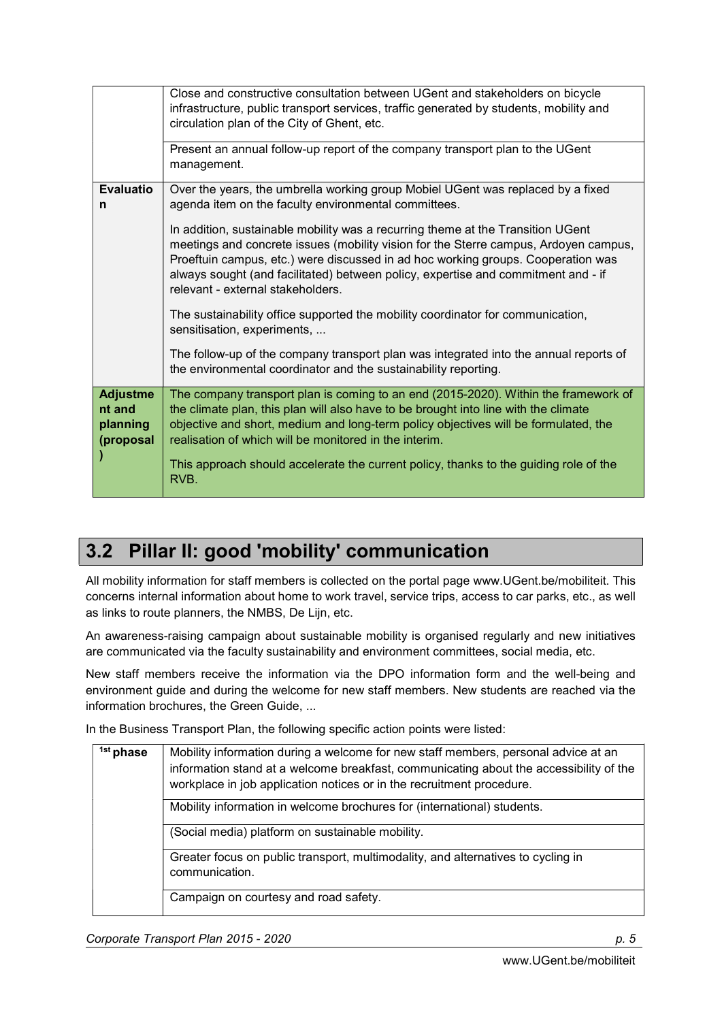|                                                    | Close and constructive consultation between UGent and stakeholders on bicycle<br>infrastructure, public transport services, traffic generated by students, mobility and<br>circulation plan of the City of Ghent, etc.                                                                                                                                                                                               |
|----------------------------------------------------|----------------------------------------------------------------------------------------------------------------------------------------------------------------------------------------------------------------------------------------------------------------------------------------------------------------------------------------------------------------------------------------------------------------------|
|                                                    | Present an annual follow-up report of the company transport plan to the UGent<br>management.                                                                                                                                                                                                                                                                                                                         |
| <b>Evaluatio</b><br>n                              | Over the years, the umbrella working group Mobiel UGent was replaced by a fixed<br>agenda item on the faculty environmental committees.                                                                                                                                                                                                                                                                              |
|                                                    | In addition, sustainable mobility was a recurring theme at the Transition UGent<br>meetings and concrete issues (mobility vision for the Sterre campus, Ardoyen campus,<br>Proeftuin campus, etc.) were discussed in ad hoc working groups. Cooperation was<br>always sought (and facilitated) between policy, expertise and commitment and - if<br>relevant - external stakeholders.                                |
|                                                    | The sustainability office supported the mobility coordinator for communication,<br>sensitisation, experiments,                                                                                                                                                                                                                                                                                                       |
|                                                    | The follow-up of the company transport plan was integrated into the annual reports of<br>the environmental coordinator and the sustainability reporting.                                                                                                                                                                                                                                                             |
| <b>Adjustme</b><br>nt and<br>planning<br>(proposal | The company transport plan is coming to an end (2015-2020). Within the framework of<br>the climate plan, this plan will also have to be brought into line with the climate<br>objective and short, medium and long-term policy objectives will be formulated, the<br>realisation of which will be monitored in the interim.<br>This approach should accelerate the current policy, thanks to the guiding role of the |
|                                                    | RVB.                                                                                                                                                                                                                                                                                                                                                                                                                 |

#### 3.2 Pillar II: good 'mobility' communication

All mobility information for staff members is collected on the portal page www.UGent.be/mobiliteit. This concerns internal information about home to work travel, service trips, access to car parks, etc., as well as links to route planners, the NMBS, De Lijn, etc.

An awareness-raising campaign about sustainable mobility is organised regularly and new initiatives are communicated via the faculty sustainability and environment committees, social media, etc.

New staff members receive the information via the DPO information form and the well-being and environment guide and during the welcome for new staff members. New students are reached via the information brochures, the Green Guide, ...

| <sup>1st</sup> phase | Mobility information during a welcome for new staff members, personal advice at an<br>information stand at a welcome breakfast, communicating about the accessibility of the<br>workplace in job application notices or in the recruitment procedure. |
|----------------------|-------------------------------------------------------------------------------------------------------------------------------------------------------------------------------------------------------------------------------------------------------|
|                      | Mobility information in welcome brochures for (international) students.                                                                                                                                                                               |
|                      | (Social media) platform on sustainable mobility.                                                                                                                                                                                                      |
|                      | Greater focus on public transport, multimodality, and alternatives to cycling in<br>communication.                                                                                                                                                    |
|                      | Campaign on courtesy and road safety.                                                                                                                                                                                                                 |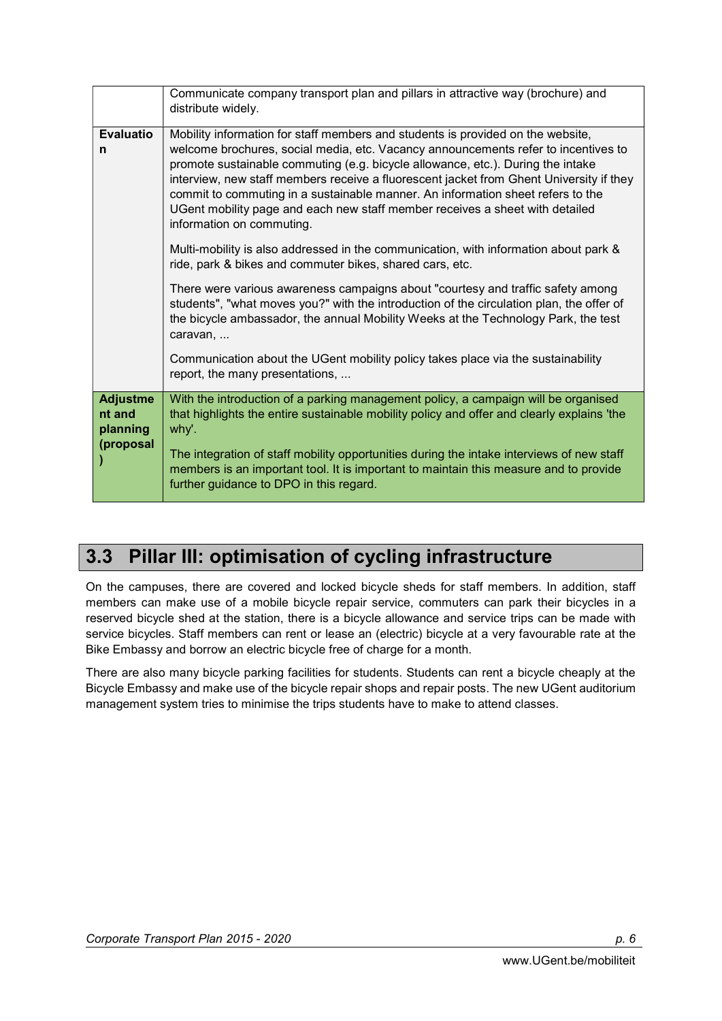|                                       | Communicate company transport plan and pillars in attractive way (brochure) and<br>distribute widely.                                                                                                                                                                                                                                                                                                                                                                                                                                               |
|---------------------------------------|-----------------------------------------------------------------------------------------------------------------------------------------------------------------------------------------------------------------------------------------------------------------------------------------------------------------------------------------------------------------------------------------------------------------------------------------------------------------------------------------------------------------------------------------------------|
| <b>Evaluatio</b><br>n                 | Mobility information for staff members and students is provided on the website,<br>welcome brochures, social media, etc. Vacancy announcements refer to incentives to<br>promote sustainable commuting (e.g. bicycle allowance, etc.). During the intake<br>interview, new staff members receive a fluorescent jacket from Ghent University if they<br>commit to commuting in a sustainable manner. An information sheet refers to the<br>UGent mobility page and each new staff member receives a sheet with detailed<br>information on commuting. |
|                                       | Multi-mobility is also addressed in the communication, with information about park &<br>ride, park & bikes and commuter bikes, shared cars, etc.                                                                                                                                                                                                                                                                                                                                                                                                    |
|                                       | There were various awareness campaigns about "courtesy and traffic safety among<br>students", "what moves you?" with the introduction of the circulation plan, the offer of<br>the bicycle ambassador, the annual Mobility Weeks at the Technology Park, the test<br>caravan,                                                                                                                                                                                                                                                                       |
|                                       | Communication about the UGent mobility policy takes place via the sustainability<br>report, the many presentations,                                                                                                                                                                                                                                                                                                                                                                                                                                 |
| <b>Adjustme</b><br>nt and<br>planning | With the introduction of a parking management policy, a campaign will be organised<br>that highlights the entire sustainable mobility policy and offer and clearly explains 'the<br>why'.                                                                                                                                                                                                                                                                                                                                                           |
| (proposal                             | The integration of staff mobility opportunities during the intake interviews of new staff<br>members is an important tool. It is important to maintain this measure and to provide<br>further guidance to DPO in this regard.                                                                                                                                                                                                                                                                                                                       |

### 3.3 Pillar III: optimisation of cycling infrastructure

On the campuses, there are covered and locked bicycle sheds for staff members. In addition, staff members can make use of a mobile bicycle repair service, commuters can park their bicycles in a reserved bicycle shed at the station, there is a bicycle allowance and service trips can be made with service bicycles. Staff members can rent or lease an (electric) bicycle at a very favourable rate at the Bike Embassy and borrow an electric bicycle free of charge for a month.

There are also many bicycle parking facilities for students. Students can rent a bicycle cheaply at the Bicycle Embassy and make use of the bicycle repair shops and repair posts. The new UGent auditorium management system tries to minimise the trips students have to make to attend classes.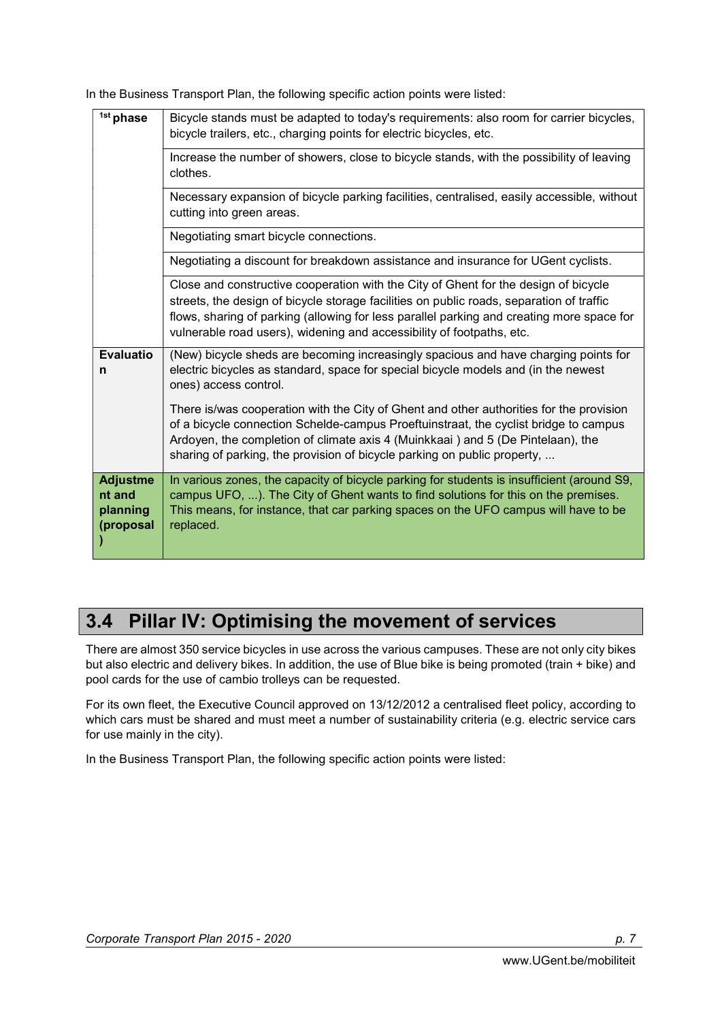In the Business Transport Plan, the following specific action points were listed:

| <sup>1st</sup> phase                               | Bicycle stands must be adapted to today's requirements: also room for carrier bicycles,<br>bicycle trailers, etc., charging points for electric bicycles, etc.                                                                                                                                                                                        |
|----------------------------------------------------|-------------------------------------------------------------------------------------------------------------------------------------------------------------------------------------------------------------------------------------------------------------------------------------------------------------------------------------------------------|
|                                                    | Increase the number of showers, close to bicycle stands, with the possibility of leaving<br>clothes.                                                                                                                                                                                                                                                  |
|                                                    | Necessary expansion of bicycle parking facilities, centralised, easily accessible, without<br>cutting into green areas.                                                                                                                                                                                                                               |
|                                                    | Negotiating smart bicycle connections.                                                                                                                                                                                                                                                                                                                |
|                                                    | Negotiating a discount for breakdown assistance and insurance for UGent cyclists.                                                                                                                                                                                                                                                                     |
|                                                    | Close and constructive cooperation with the City of Ghent for the design of bicycle<br>streets, the design of bicycle storage facilities on public roads, separation of traffic<br>flows, sharing of parking (allowing for less parallel parking and creating more space for<br>vulnerable road users), widening and accessibility of footpaths, etc. |
| <b>Evaluatio</b><br>n                              | (New) bicycle sheds are becoming increasingly spacious and have charging points for<br>electric bicycles as standard, space for special bicycle models and (in the newest<br>ones) access control.                                                                                                                                                    |
|                                                    | There is/was cooperation with the City of Ghent and other authorities for the provision<br>of a bicycle connection Schelde-campus Proeftuinstraat, the cyclist bridge to campus<br>Ardoyen, the completion of climate axis 4 (Muinkkaai) and 5 (De Pintelaan), the<br>sharing of parking, the provision of bicycle parking on public property,        |
| <b>Adjustme</b><br>nt and<br>planning<br>(proposal | In various zones, the capacity of bicycle parking for students is insufficient (around S9,<br>campus UFO, ). The City of Ghent wants to find solutions for this on the premises.<br>This means, for instance, that car parking spaces on the UFO campus will have to be<br>replaced.                                                                  |

## 3.4 Pillar IV: Optimising the movement of services

There are almost 350 service bicycles in use across the various campuses. These are not only city bikes but also electric and delivery bikes. In addition, the use of Blue bike is being promoted (train + bike) and pool cards for the use of cambio trolleys can be requested.

For its own fleet, the Executive Council approved on 13/12/2012 a centralised fleet policy, according to which cars must be shared and must meet a number of sustainability criteria (e.g. electric service cars for use mainly in the city).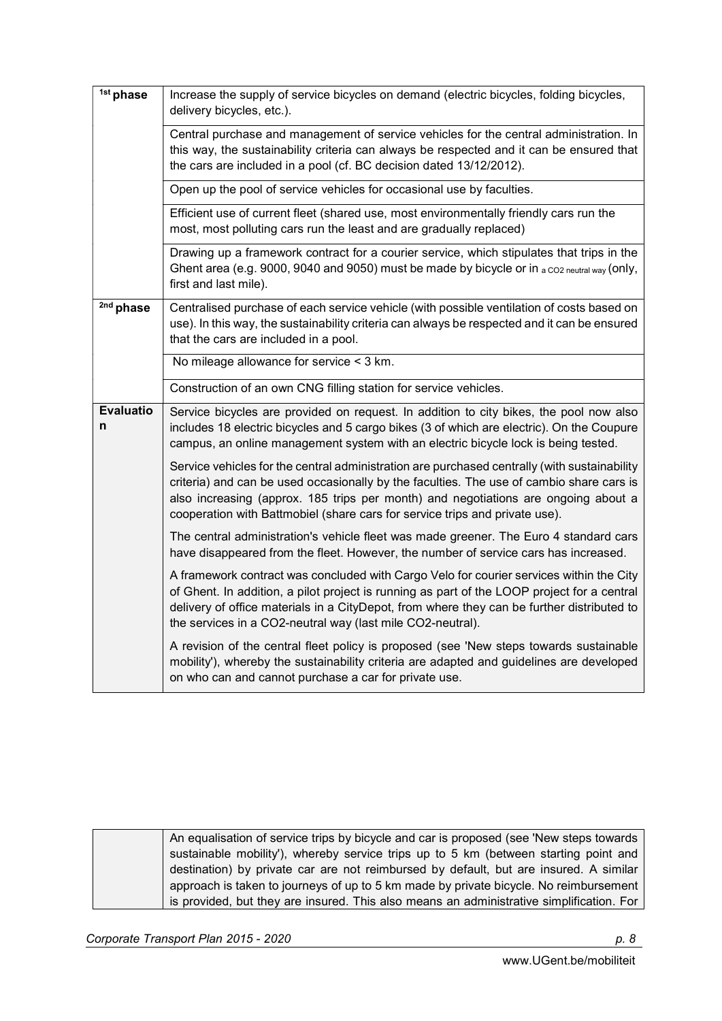| <sup>1st</sup> phase  | Increase the supply of service bicycles on demand (electric bicycles, folding bicycles,<br>delivery bicycles, etc.).                                                                                                                                                                                                                                          |
|-----------------------|---------------------------------------------------------------------------------------------------------------------------------------------------------------------------------------------------------------------------------------------------------------------------------------------------------------------------------------------------------------|
|                       | Central purchase and management of service vehicles for the central administration. In<br>this way, the sustainability criteria can always be respected and it can be ensured that<br>the cars are included in a pool (cf. BC decision dated 13/12/2012).                                                                                                     |
|                       | Open up the pool of service vehicles for occasional use by faculties.                                                                                                                                                                                                                                                                                         |
|                       | Efficient use of current fleet (shared use, most environmentally friendly cars run the<br>most, most polluting cars run the least and are gradually replaced)                                                                                                                                                                                                 |
|                       | Drawing up a framework contract for a courier service, which stipulates that trips in the<br>Ghent area (e.g. 9000, 9040 and 9050) must be made by bicycle or in a co2 neutral way (only,<br>first and last mile).                                                                                                                                            |
| 2nd phase             | Centralised purchase of each service vehicle (with possible ventilation of costs based on<br>use). In this way, the sustainability criteria can always be respected and it can be ensured<br>that the cars are included in a pool.                                                                                                                            |
|                       | No mileage allowance for service < 3 km.                                                                                                                                                                                                                                                                                                                      |
|                       | Construction of an own CNG filling station for service vehicles.                                                                                                                                                                                                                                                                                              |
| <b>Evaluatio</b><br>n | Service bicycles are provided on request. In addition to city bikes, the pool now also<br>includes 18 electric bicycles and 5 cargo bikes (3 of which are electric). On the Coupure<br>campus, an online management system with an electric bicycle lock is being tested.                                                                                     |
|                       | Service vehicles for the central administration are purchased centrally (with sustainability<br>criteria) and can be used occasionally by the faculties. The use of cambio share cars is<br>also increasing (approx. 185 trips per month) and negotiations are ongoing about a<br>cooperation with Battmobiel (share cars for service trips and private use). |
|                       | The central administration's vehicle fleet was made greener. The Euro 4 standard cars<br>have disappeared from the fleet. However, the number of service cars has increased.                                                                                                                                                                                  |
|                       | A framework contract was concluded with Cargo Velo for courier services within the City<br>of Ghent. In addition, a pilot project is running as part of the LOOP project for a central<br>delivery of office materials in a CityDepot, from where they can be further distributed to<br>the services in a CO2-neutral way (last mile CO2-neutral).            |
|                       | A revision of the central fleet policy is proposed (see 'New steps towards sustainable<br>mobility'), whereby the sustainability criteria are adapted and guidelines are developed<br>on who can and cannot purchase a car for private use.                                                                                                                   |

| An equalisation of service trips by bicycle and car is proposed (see 'New steps towards  |
|------------------------------------------------------------------------------------------|
| sustainable mobility'), whereby service trips up to 5 km (between starting point and     |
| destination) by private car are not reimbursed by default, but are insured. A similar    |
| approach is taken to journeys of up to 5 km made by private bicycle. No reimbursement    |
| is provided, but they are insured. This also means an administrative simplification. For |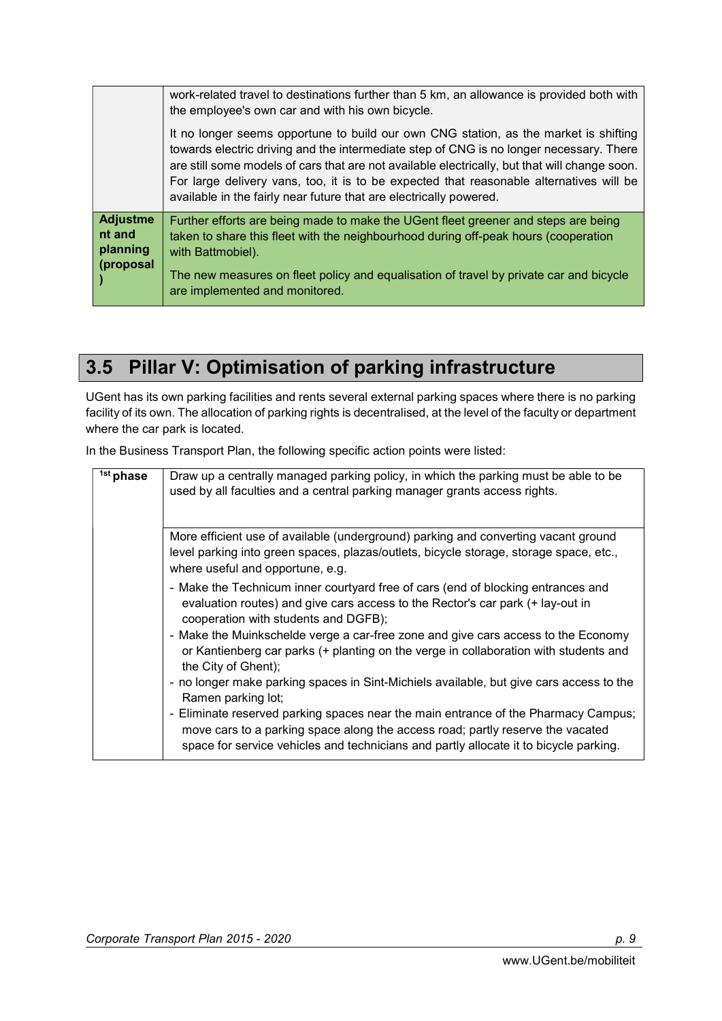|                                                    | work-related travel to destinations further than 5 km, an allowance is provided both with<br>the employee's own car and with his own bicycle.<br>It no longer seems opportune to build our own CNG station, as the market is shifting<br>towards electric driving and the intermediate step of CNG is no longer necessary. There<br>are still some models of cars that are not available electrically, but that will change soon.<br>For large delivery vans, too, it is to be expected that reasonable alternatives will be<br>available in the fairly near future that are electrically powered. |
|----------------------------------------------------|----------------------------------------------------------------------------------------------------------------------------------------------------------------------------------------------------------------------------------------------------------------------------------------------------------------------------------------------------------------------------------------------------------------------------------------------------------------------------------------------------------------------------------------------------------------------------------------------------|
| <b>Adjustme</b><br>nt and<br>planning<br>(proposal | Further efforts are being made to make the UGent fleet greener and steps are being<br>taken to share this fleet with the neighbourhood during off-peak hours (cooperation<br>with Battmobiel).<br>The new measures on fleet policy and equalisation of travel by private car and bicycle<br>are implemented and monitored.                                                                                                                                                                                                                                                                         |

### 3.5 Pillar V: Optimisation of parking infrastructure

UGent has its own parking facilities and rents several external parking spaces where there is no parking facility of its own. The allocation of parking rights is decentralised, at the level of the faculty or department where the car park is located.

| <sup>1st</sup> phase | Draw up a centrally managed parking policy, in which the parking must be able to be<br>used by all faculties and a central parking manager grants access rights.                                                                                              |
|----------------------|---------------------------------------------------------------------------------------------------------------------------------------------------------------------------------------------------------------------------------------------------------------|
|                      | More efficient use of available (underground) parking and converting vacant ground<br>level parking into green spaces, plazas/outlets, bicycle storage, storage space, etc.,<br>where useful and opportune, e.g.                                              |
|                      | - Make the Technicum inner courtyard free of cars (end of blocking entrances and<br>evaluation routes) and give cars access to the Rector's car park (+ lay-out in<br>cooperation with students and DGFB);                                                    |
|                      | - Make the Muinkschelde verge a car-free zone and give cars access to the Economy<br>or Kantienberg car parks (+ planting on the verge in collaboration with students and<br>the City of Ghent);                                                              |
|                      | - no longer make parking spaces in Sint-Michiels available, but give cars access to the<br>Ramen parking lot;                                                                                                                                                 |
|                      | - Eliminate reserved parking spaces near the main entrance of the Pharmacy Campus;<br>move cars to a parking space along the access road; partly reserve the vacated<br>space for service vehicles and technicians and partly allocate it to bicycle parking. |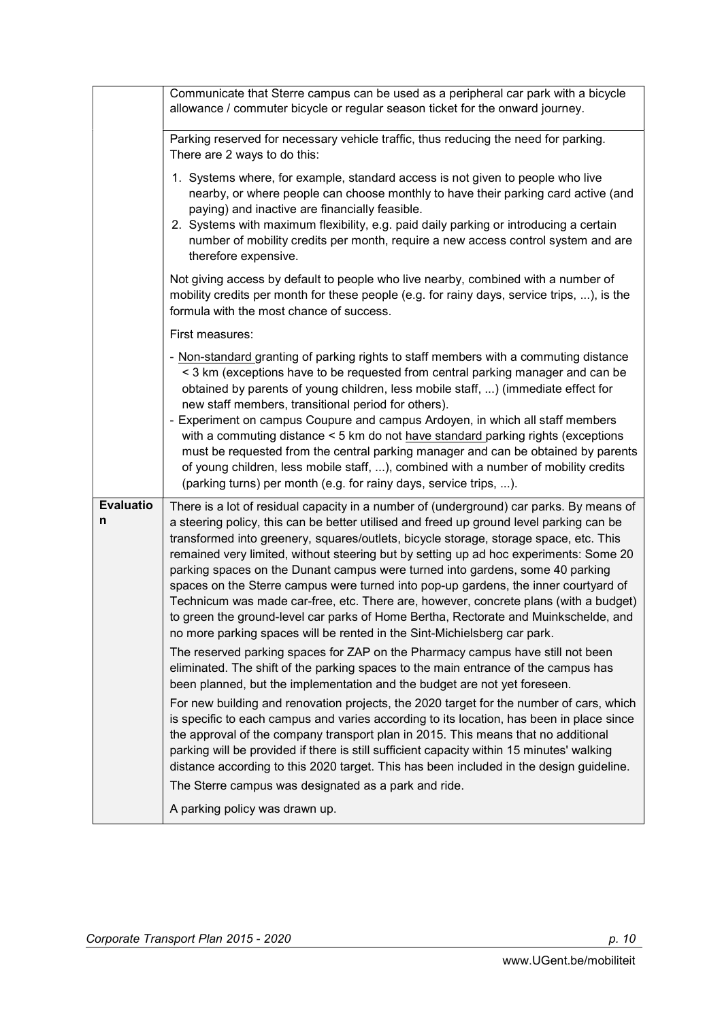|                       | Communicate that Sterre campus can be used as a peripheral car park with a bicycle<br>allowance / commuter bicycle or regular season ticket for the onward journey.                                                                                                                                                                                                                                                                                                                                                                                                                                                                                                                                                                                                                                                                                                                                                                                                                                                                                                                                                                                                                                                                                                                                                                                                                                                                                                                                                                                                                                                        |
|-----------------------|----------------------------------------------------------------------------------------------------------------------------------------------------------------------------------------------------------------------------------------------------------------------------------------------------------------------------------------------------------------------------------------------------------------------------------------------------------------------------------------------------------------------------------------------------------------------------------------------------------------------------------------------------------------------------------------------------------------------------------------------------------------------------------------------------------------------------------------------------------------------------------------------------------------------------------------------------------------------------------------------------------------------------------------------------------------------------------------------------------------------------------------------------------------------------------------------------------------------------------------------------------------------------------------------------------------------------------------------------------------------------------------------------------------------------------------------------------------------------------------------------------------------------------------------------------------------------------------------------------------------------|
|                       | Parking reserved for necessary vehicle traffic, thus reducing the need for parking.<br>There are 2 ways to do this:                                                                                                                                                                                                                                                                                                                                                                                                                                                                                                                                                                                                                                                                                                                                                                                                                                                                                                                                                                                                                                                                                                                                                                                                                                                                                                                                                                                                                                                                                                        |
|                       | 1. Systems where, for example, standard access is not given to people who live<br>nearby, or where people can choose monthly to have their parking card active (and<br>paying) and inactive are financially feasible.<br>2. Systems with maximum flexibility, e.g. paid daily parking or introducing a certain<br>number of mobility credits per month, require a new access control system and are<br>therefore expensive.                                                                                                                                                                                                                                                                                                                                                                                                                                                                                                                                                                                                                                                                                                                                                                                                                                                                                                                                                                                                                                                                                                                                                                                                |
|                       | Not giving access by default to people who live nearby, combined with a number of<br>mobility credits per month for these people (e.g. for rainy days, service trips, ), is the<br>formula with the most chance of success.                                                                                                                                                                                                                                                                                                                                                                                                                                                                                                                                                                                                                                                                                                                                                                                                                                                                                                                                                                                                                                                                                                                                                                                                                                                                                                                                                                                                |
|                       | First measures:                                                                                                                                                                                                                                                                                                                                                                                                                                                                                                                                                                                                                                                                                                                                                                                                                                                                                                                                                                                                                                                                                                                                                                                                                                                                                                                                                                                                                                                                                                                                                                                                            |
|                       | - Non-standard granting of parking rights to staff members with a commuting distance<br>< 3 km (exceptions have to be requested from central parking manager and can be<br>obtained by parents of young children, less mobile staff, ) (immediate effect for<br>new staff members, transitional period for others).<br>- Experiment on campus Coupure and campus Ardoyen, in which all staff members<br>with a commuting distance < 5 km do not have standard parking rights (exceptions<br>must be requested from the central parking manager and can be obtained by parents<br>of young children, less mobile staff, ), combined with a number of mobility credits<br>(parking turns) per month (e.g. for rainy days, service trips, ).                                                                                                                                                                                                                                                                                                                                                                                                                                                                                                                                                                                                                                                                                                                                                                                                                                                                                  |
| <b>Evaluatio</b><br>n | There is a lot of residual capacity in a number of (underground) car parks. By means of<br>a steering policy, this can be better utilised and freed up ground level parking can be<br>transformed into greenery, squares/outlets, bicycle storage, storage space, etc. This<br>remained very limited, without steering but by setting up ad hoc experiments: Some 20<br>parking spaces on the Dunant campus were turned into gardens, some 40 parking<br>spaces on the Sterre campus were turned into pop-up gardens, the inner courtyard of<br>Technicum was made car-free, etc. There are, however, concrete plans (with a budget)<br>to green the ground-level car parks of Home Bertha, Rectorate and Muinkschelde, and<br>no more parking spaces will be rented in the Sint-Michielsberg car park.<br>The reserved parking spaces for ZAP on the Pharmacy campus have still not been<br>eliminated. The shift of the parking spaces to the main entrance of the campus has<br>been planned, but the implementation and the budget are not yet foreseen.<br>For new building and renovation projects, the 2020 target for the number of cars, which<br>is specific to each campus and varies according to its location, has been in place since<br>the approval of the company transport plan in 2015. This means that no additional<br>parking will be provided if there is still sufficient capacity within 15 minutes' walking<br>distance according to this 2020 target. This has been included in the design guideline.<br>The Sterre campus was designated as a park and ride.<br>A parking policy was drawn up. |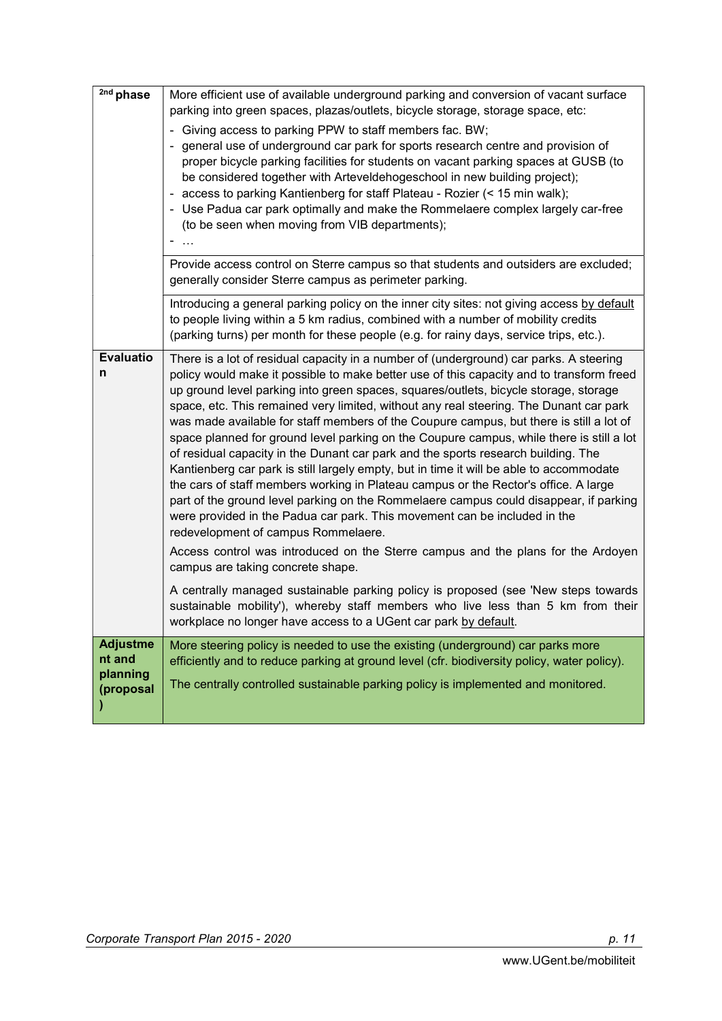| 2nd phase                                          | More efficient use of available underground parking and conversion of vacant surface<br>parking into green spaces, plazas/outlets, bicycle storage, storage space, etc:<br>- Giving access to parking PPW to staff members fac. BW;<br>- general use of underground car park for sports research centre and provision of<br>proper bicycle parking facilities for students on vacant parking spaces at GUSB (to<br>be considered together with Arteveldehogeschool in new building project);<br>- access to parking Kantienberg for staff Plateau - Rozier (< 15 min walk);<br>- Use Padua car park optimally and make the Rommelaere complex largely car-free<br>(to be seen when moving from VIB departments);                                                                                                                                                                                                                                                                                                                                |
|----------------------------------------------------|-------------------------------------------------------------------------------------------------------------------------------------------------------------------------------------------------------------------------------------------------------------------------------------------------------------------------------------------------------------------------------------------------------------------------------------------------------------------------------------------------------------------------------------------------------------------------------------------------------------------------------------------------------------------------------------------------------------------------------------------------------------------------------------------------------------------------------------------------------------------------------------------------------------------------------------------------------------------------------------------------------------------------------------------------|
|                                                    | Provide access control on Sterre campus so that students and outsiders are excluded;<br>generally consider Sterre campus as perimeter parking.                                                                                                                                                                                                                                                                                                                                                                                                                                                                                                                                                                                                                                                                                                                                                                                                                                                                                                  |
|                                                    | Introducing a general parking policy on the inner city sites: not giving access by default<br>to people living within a 5 km radius, combined with a number of mobility credits<br>(parking turns) per month for these people (e.g. for rainy days, service trips, etc.).                                                                                                                                                                                                                                                                                                                                                                                                                                                                                                                                                                                                                                                                                                                                                                       |
| <b>Evaluatio</b><br>n                              | There is a lot of residual capacity in a number of (underground) car parks. A steering<br>policy would make it possible to make better use of this capacity and to transform freed<br>up ground level parking into green spaces, squares/outlets, bicycle storage, storage<br>space, etc. This remained very limited, without any real steering. The Dunant car park<br>was made available for staff members of the Coupure campus, but there is still a lot of<br>space planned for ground level parking on the Coupure campus, while there is still a lot<br>of residual capacity in the Dunant car park and the sports research building. The<br>Kantienberg car park is still largely empty, but in time it will be able to accommodate<br>the cars of staff members working in Plateau campus or the Rector's office. A large<br>part of the ground level parking on the Rommelaere campus could disappear, if parking<br>were provided in the Padua car park. This movement can be included in the<br>redevelopment of campus Rommelaere. |
|                                                    | Access control was introduced on the Sterre campus and the plans for the Ardoyen<br>campus are taking concrete shape.                                                                                                                                                                                                                                                                                                                                                                                                                                                                                                                                                                                                                                                                                                                                                                                                                                                                                                                           |
|                                                    | A centrally managed sustainable parking policy is proposed (see 'New steps towards<br>sustainable mobility'), whereby staff members who live less than 5 km from their<br>workplace no longer have access to a UGent car park by default.                                                                                                                                                                                                                                                                                                                                                                                                                                                                                                                                                                                                                                                                                                                                                                                                       |
| <b>Adjustme</b><br>nt and<br>planning<br>(proposal | More steering policy is needed to use the existing (underground) car parks more<br>efficiently and to reduce parking at ground level (cfr. biodiversity policy, water policy).<br>The centrally controlled sustainable parking policy is implemented and monitored.                                                                                                                                                                                                                                                                                                                                                                                                                                                                                                                                                                                                                                                                                                                                                                             |